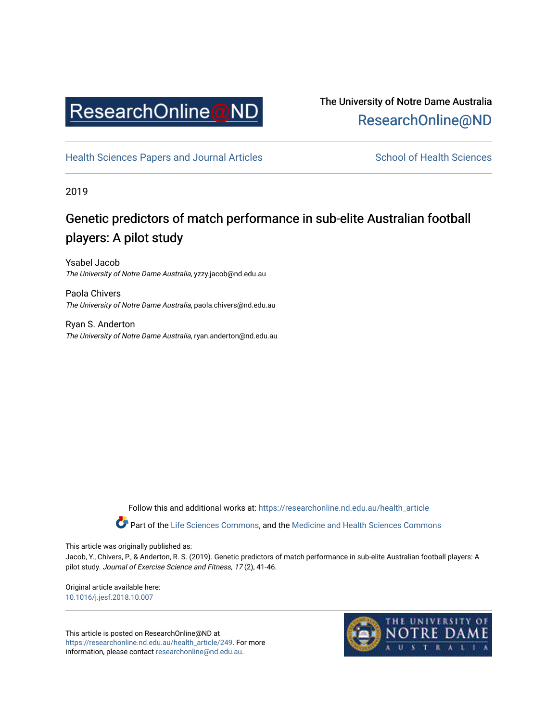

## The University of Notre Dame Australia [ResearchOnline@ND](https://researchonline.nd.edu.au/)

[Health Sciences Papers and Journal Articles](https://researchonline.nd.edu.au/health_article) School of Health Sciences

2019

# Genetic predictors of match performance in sub-elite Australian football players: A pilot study

Ysabel Jacob The University of Notre Dame Australia, yzzy.jacob@nd.edu.au

Paola Chivers The University of Notre Dame Australia, paola.chivers@nd.edu.au

Ryan S. Anderton The University of Notre Dame Australia, ryan.anderton@nd.edu.au

Follow this and additional works at: [https://researchonline.nd.edu.au/health\\_article](https://researchonline.nd.edu.au/health_article?utm_source=researchonline.nd.edu.au%2Fhealth_article%2F249&utm_medium=PDF&utm_campaign=PDFCoverPages)

Part of the [Life Sciences Commons](http://network.bepress.com/hgg/discipline/1016?utm_source=researchonline.nd.edu.au%2Fhealth_article%2F249&utm_medium=PDF&utm_campaign=PDFCoverPages), and the Medicine and Health Sciences Commons

This article was originally published as:

Jacob, Y., Chivers, P., & Anderton, R. S. (2019). Genetic predictors of match performance in sub-elite Australian football players: A pilot study. Journal of Exercise Science and Fitness, 17 (2), 41-46.

Original article available here: [10.1016/j.jesf.2018.10.007](https://doi.org/10.1016/j.jesf.2018.10.007)

This article is posted on ResearchOnline@ND at [https://researchonline.nd.edu.au/health\\_article/249](https://researchonline.nd.edu.au/health_article/249). For more information, please contact [researchonline@nd.edu.au.](mailto:researchonline@nd.edu.au)

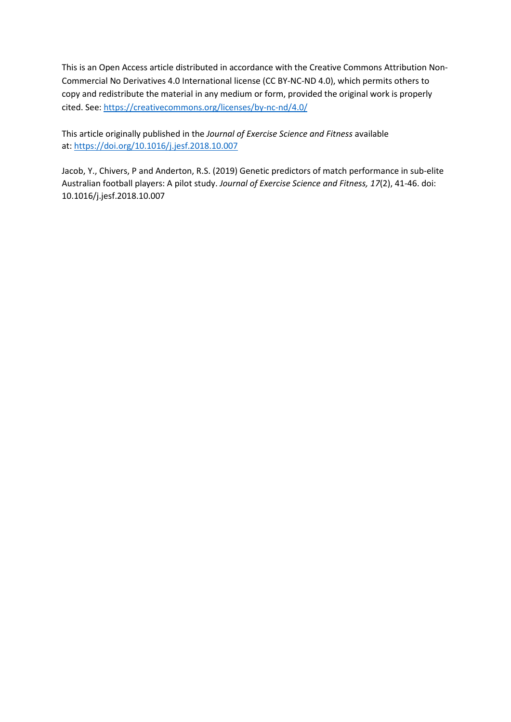This is an Open Access article distributed in accordance with the Creative Commons Attribution Non-Commercial No Derivatives 4.0 International license (CC BY-NC-ND 4.0), which permits others to copy and redistribute the material in any medium or form, provided the original work is properly cited. See:<https://creativecommons.org/licenses/by-nc-nd/4.0/>

This article originally published in the *Journal of Exercise Science and Fitness* available at:<https://doi.org/10.1016/j.jesf.2018.10.007>

Jacob, Y., Chivers, P and Anderton, R.S. (2019) Genetic predictors of match performance in sub-elite Australian football players: A pilot study. *Journal of Exercise Science and Fitness, 17*(2), 41-46. doi: 10.1016/j.jesf.2018.10.007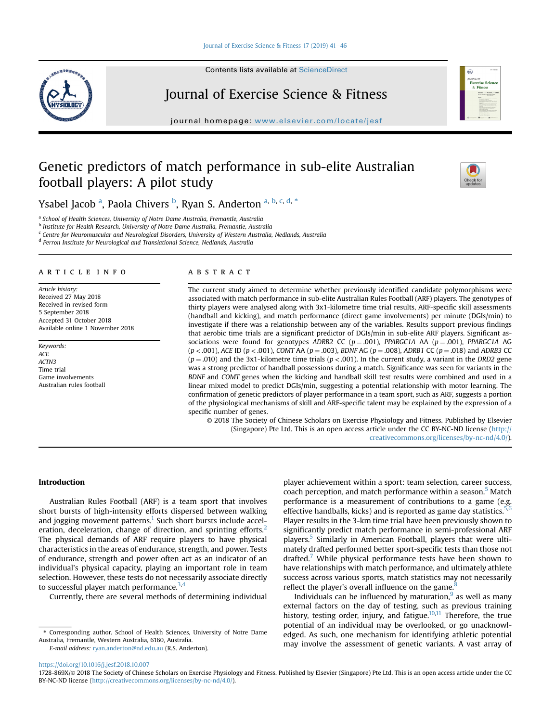## [Journal of Exercise Science & Fitness 17 \(2019\) 41](https://doi.org/10.1016/j.jesf.2018.10.007)-[46](https://doi.org/10.1016/j.jesf.2018.10.007)

Contents lists available at ScienceDirect



Journal of Exercise Science & Fitness

journal homepage: [www.elsevier.com/locate/jesf](http://www.elsevier.com/locate/jesf)

## Genetic predictors of match performance in sub-elite Australian football players: A pilot study



Ysabel Jacob <sup>a</sup>, Paola Chivers <sup>b</sup>, Ryan S. Anderton <sup>a, b, c, d, \*</sup>

<sup>a</sup> School of Health Sciences, University of Notre Dame Australia, Fremantle, Australia

<sup>b</sup> Institute for Health Research, University of Notre Dame Australia, Fremantle, Australia

<sup>c</sup> Centre for Neuromuscular and Neurological Disorders, University of Western Australia, Nedlands, Australia

<sup>d</sup> Perron Institute for Neurological and Translational Science, Nedlands, Australia

## article info

Article history: Received 27 May 2018 Received in revised form 5 September 2018 Accepted 31 October 2018 Available online 1 November 2018

Keywords: ACE ACTN3 Time trial Game involvements Australian rules football

## ABSTRACT

The current study aimed to determine whether previously identified candidate polymorphisms were associated with match performance in sub-elite Australian Rules Football (ARF) players. The genotypes of thirty players were analysed along with 3x1-kilometre time trial results, ARF-specific skill assessments (handball and kicking), and match performance (direct game involvements) per minute (DGIs/min) to investigate if there was a relationship between any of the variables. Results support previous findings that aerobic time trials are a significant predictor of DGIs/min in sub-elite ARF players. Significant associations were found for genotypes ADRB2 CC ( $p = .001$ ), PPARGC1A AA ( $p = .001$ ), PPARGC1A AG  $(p < .001)$ , ACE ID  $(p < .001)$ , COMT AA  $(p = .003)$ , BDNF AG  $(p = .008)$ , ADRB1 CC  $(p = .018)$  and ADRB3 CC  $(p = .010)$  and the 3x1-kilometre time trials  $(p < .001)$ . In the current study, a variant in the DRD2 gene was a strong predictor of handball possessions during a match. Significance was seen for variants in the BDNF and COMT genes when the kicking and handball skill test results were combined and used in a linear mixed model to predict DGIs/min, suggesting a potential relationship with motor learning. The confirmation of genetic predictors of player performance in a team sport, such as ARF, suggests a portion of the physiological mechanisms of skill and ARF-specific talent may be explained by the expression of a specific number of genes.

© 2018 The Society of Chinese Scholars on Exercise Physiology and Fitness. Published by Elsevier (Singapore) Pte Ltd. This is an open access article under the CC BY-NC-ND license [\(http://](http://creativecommons.org/licenses/by-nc-nd/4.0/) [creativecommons.org/licenses/by-nc-nd/4.0/](http://creativecommons.org/licenses/by-nc-nd/4.0/)).

## Introduction

Australian Rules Football (ARF) is a team sport that involves short bursts of high-intensity efforts dispersed between walking and jogging movement patterns. $1$  Such short bursts include accel-eration, deceleration, change of direction, and sprinting efforts.<sup>[2](#page-7-0)</sup> The physical demands of ARF require players to have physical characteristics in the areas of endurance, strength, and power. Tests of endurance, strength and power often act as an indicator of an individual's physical capacity, playing an important role in team selection. However, these tests do not necessarily associate directly to successful player match performance. $3,4$ 

Currently, there are several methods of determining individual

E-mail address: [ryan.anderton@nd.edu.au](mailto:ryan.anderton@nd.edu.au) (R.S. Anderton).

player achievement within a sport: team selection, career success, coach perception, and match performance within a season.<sup>5</sup> Match performance is a measurement of contributions to a game (e.g. effective handballs, kicks) and is reported as game day statistics.<sup>[5,6](#page-7-0)</sup> Player results in the 3-km time trial have been previously shown to significantly predict match performance in semi-professional ARF players.[5](#page-7-0) Similarly in American Football, players that were ultimately drafted performed better sport-specific tests than those not drafted.<sup>[7](#page-7-0)</sup> While physical performance tests have been shown to have relationships with match performance, and ultimately athlete success across various sports, match statistics may not necessarily reflect the player's overall influence on the game.

Individuals can be influenced by maturation, $9$  as well as many external factors on the day of testing, such as previous training history, testing order, injury, and fatigue. $10,11$  Therefore, the true potential of an individual may be overlooked, or go unacknowledged. As such, one mechanism for identifying athletic potential may involve the assessment of genetic variants. A vast array of

<sup>\*</sup> Corresponding author. School of Health Sciences, University of Notre Dame Australia, Fremantle, Western Australia, 6160, Australia.

<https://doi.org/10.1016/j.jesf.2018.10.007>

<sup>1728-869</sup>X/© 2018 The Society of Chinese Scholars on Exercise Physiology and Fitness. Published by Elsevier (Singapore) Pte Ltd. This is an open access article under the CC BY-NC-ND license [\(http://creativecommons.org/licenses/by-nc-nd/4.0/](http://creativecommons.org/licenses/by-nc-nd/4.0/)).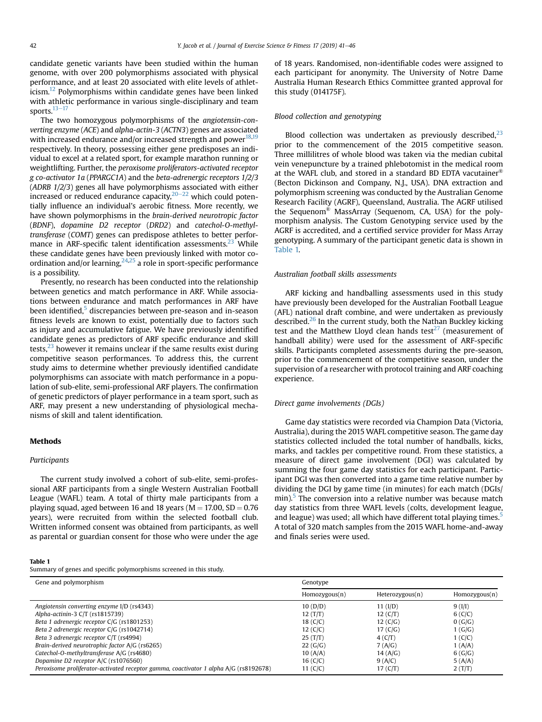candidate genetic variants have been studied within the human genome, with over 200 polymorphisms associated with physical performance, and at least 20 associated with elite levels of athlet-icism.<sup>[12](#page-7-0)</sup> Polymorphisms within candidate genes have been linked with athletic performance in various single-disciplinary and team sports. $13-17$  $13-17$  $13-17$ 

The two homozygous polymorphisms of the angiotensin-converting enzyme (ACE) and alpha-actin-3 (ACTN3) genes are associated with increased endurance and/or increased strength and power<sup>[18](#page-7-0),[19](#page-7-0)</sup> respectively. In theory, possessing either gene predisposes an individual to excel at a related sport, for example marathon running or weightlifting. Further, the peroxisome proliferators-activated receptor g co-activator 1a (PPARGC1A) and the beta-adrenergic receptors 1/2/3 (ADRB 1/2/3) genes all have polymorphisms associated with either increased or reduced endurance capacity, $20-22$  $20-22$  $20-22$  which could potentially influence an individual's aerobic fitness. More recently, we have shown polymorphisms in the brain-derived neurotropic factor (BDNF), dopamine D2 receptor (DRD2) and catechol-O-methyltransferase (COMT) genes can predispose athletes to better performance in ARF-specific talent identification assessments.<sup>23</sup> While these candidate genes have been previously linked with motor coordination and/or learning,  $24,25$  $24,25$  $24,25$  a role in sport-specific performance is a possibility.

Presently, no research has been conducted into the relationship between genetics and match performance in ARF. While associations between endurance and match performances in ARF have been identified,<sup>5</sup> discrepancies between pre-season and in-season fitness levels are known to exist, potentially due to factors such as injury and accumulative fatigue. We have previously identified candidate genes as predictors of ARF specific endurance and skill tests, $23$  however it remains unclear if the same results exist during competitive season performances. To address this, the current study aims to determine whether previously identified candidate polymorphisms can associate with match performance in a population of sub-elite, semi-professional ARF players. The confirmation of genetic predictors of player performance in a team sport, such as ARF, may present a new understanding of physiological mechanisms of skill and talent identification.

## Methods

## Participants

The current study involved a cohort of sub-elite, semi-professional ARF participants from a single Western Australian Football League (WAFL) team. A total of thirty male participants from a playing squad, aged between 16 and 18 years ( $M = 17.00$ ,  $SD = 0.76$ ) years), were recruited from within the selected football club. Written informed consent was obtained from participants, as well as parental or guardian consent for those who were under the age

#### Table 1

Summary of genes and specific polymorphisms screened in this study.

of 18 years. Randomised, non-identifiable codes were assigned to each participant for anonymity. The University of Notre Dame Australia Human Research Ethics Committee granted approval for this study (014175F).

## Blood collection and genotyping

Blood collection was undertaken as previously described, $^{23}$  $^{23}$  $^{23}$ prior to the commencement of the 2015 competitive season. Three millilitres of whole blood was taken via the median cubital vein venepuncture by a trained phlebotomist in the medical room at the WAFL club, and stored in a standard BD EDTA vacutainer $^{\circledR}$ (Becton Dickinson and Company, N.J., USA). DNA extraction and polymorphism screening was conducted by the Australian Genome Research Facility (AGRF), Queensland, Australia. The AGRF utilised the Sequenom® MassArray (Sequenom, CA, USA) for the polymorphism analysis. The Custom Genotyping service used by the AGRF is accredited, and a certified service provider for Mass Array genotyping. A summary of the participant genetic data is shown in Table 1.

#### Australian football skills assessments

ARF kicking and handballing assessments used in this study have previously been developed for the Australian Football League (AFL) national draft combine, and were undertaken as previously described.<sup>26</sup> In the current study, both the Nathan Buckley kicking test and the Matthew Lloyd clean hands test $^{27}$  $^{27}$  $^{27}$  (measurement of handball ability) were used for the assessment of ARF-specific skills. Participants completed assessments during the pre-season, prior to the commencement of the competitive season, under the supervision of a researcher with protocol training and ARF coaching experience.

## Direct game involvements (DGIs)

Game day statistics were recorded via Champion Data (Victoria, Australia), during the 2015 WAFL competitive season. The game day statistics collected included the total number of handballs, kicks, marks, and tackles per competitive round. From these statistics, a measure of direct game involvement (DGI) was calculated by summing the four game day statistics for each participant. Participant DGI was then converted into a game time relative number by dividing the DGI by game time (in minutes) for each match (DGIs/ min).<sup>[5](#page-7-0)</sup> The conversion into a relative number was because match day statistics from three WAFL levels (colts, development league, and league) was used; all which have different total playing times.<sup>[5](#page-7-0)</sup> A total of 320 match samples from the 2015 WAFL home-and-away and finals series were used.

| Gene and polymorphism                                                                 | Genotype      |                 |               |
|---------------------------------------------------------------------------------------|---------------|-----------------|---------------|
|                                                                                       | Homozygous(n) | Heterozygous(n) | Homozygous(n) |
| Angiotensin converting enzyme I/D (rs4343)                                            | 10(D/D)       | 11 (I/D)        | 9(I/I)        |
| Alpha-actinin-3 C/T (rs1815739)                                                       | 12(T/T)       | 12 (C/T)        | 6(C/C)        |
| Beta 1 adrenergic receptor C/G (rs1801253)                                            | 18 $(C/C)$    | 12 (C/G)        | 0(G/G)        |
| Beta 2 adrenergic receptor C/G (rs1042714)                                            | 12(C/C)       | 17 $(C/G)$      | 1(G/G)        |
| Beta 3 adrenergic receptor C/T (rs4994)                                               | 25(T/T)       | 4(C/T)          | 1(C/C)        |
| Brain-derived neurotrophic factor A/G (rs6265)                                        | 22(G/G)       | 7(A/G)          | 1(A/A)        |
| Catechol-O-methyltransferase A/G (rs4680)                                             | 10(A/A)       | 14 (A/G)        | 6(G/G)        |
| Dopamine D2 receptor A/C (rs1076560)                                                  | 16(C/C)       | 9(A/C)          | 5(A/A)        |
| Peroxisome proliferator-activated receptor gamma, coactivator 1 alpha A/G (rs8192678) | 11 $(C/C)$    | 17 (C/T)        | 2(T/T)        |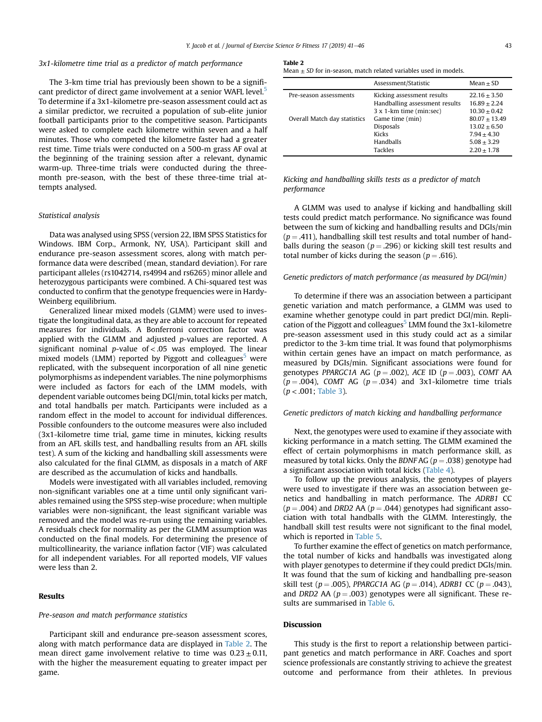## 3x1-kilometre time trial as a predictor of match performance

The 3-km time trial has previously been shown to be a significant predictor of direct game involvement at a senior WAFL level.<sup>5</sup> To determine if a 3x1-kilometre pre-season assessment could act as a similar predictor, we recruited a population of sub-elite junior football participants prior to the competitive season. Participants were asked to complete each kilometre within seven and a half minutes. Those who competed the kilometre faster had a greater rest time. Time trials were conducted on a 500-m grass AF oval at the beginning of the training session after a relevant, dynamic warm-up. Three-time trials were conducted during the threemonth pre-season, with the best of these three-time trial attempts analysed.

## Statistical analysis

Data was analysed using SPSS (version 22, IBM SPSS Statistics for Windows. IBM Corp., Armonk, NY, USA). Participant skill and endurance pre-season assessment scores, along with match performance data were described (mean, standard deviation). For rare participant alleles (rs1042714, rs4994 and rs6265) minor allele and heterozygous participants were combined. A Chi-squared test was conducted to confirm that the genotype frequencies were in Hardy-Weinberg equilibrium.

Generalized linear mixed models (GLMM) were used to investigate the longitudinal data, as they are able to account for repeated measures for individuals. A Bonferroni correction factor was applied with the GLMM and adjusted p-values are reported. A significant nominal p-value of  $< 0.05$  was employed. The linear mixed models (LMM) reported by Piggott and colleagues<sup>[5](#page-7-0)</sup> were replicated, with the subsequent incorporation of all nine genetic polymorphisms as independent variables. The nine polymorphisms were included as factors for each of the LMM models, with dependent variable outcomes being DGI/min, total kicks per match, and total handballs per match. Participants were included as a random effect in the model to account for individual differences. Possible confounders to the outcome measures were also included (3x1-kilometre time trial, game time in minutes, kicking results from an AFL skills test, and handballing results from an AFL skills test). A sum of the kicking and handballing skill assessments were also calculated for the final GLMM, as disposals in a match of ARF are described as the accumulation of kicks and handballs.

Models were investigated with all variables included, removing non-significant variables one at a time until only significant variables remained using the SPSS step-wise procedure; when multiple variables were non-significant, the least significant variable was removed and the model was re-run using the remaining variables. A residuals check for normality as per the GLMM assumption was conducted on the final models. For determining the presence of multicollinearity, the variance inflation factor (VIF) was calculated for all independent variables. For all reported models, VIF values were less than 2.

## Results

## Pre-season and match performance statistics

Participant skill and endurance pre-season assessment scores, along with match performance data are displayed in Table 2. The mean direct game involvement relative to time was  $0.23 \pm 0.11$ , with the higher the measurement equating to greater impact per game.

#### Table 2

Mean  $+$  SD for in-season, match related variables used in models.

|                              | Assessment/Statistic                                                                    | Mean $\pm$ SD                                                                        |
|------------------------------|-----------------------------------------------------------------------------------------|--------------------------------------------------------------------------------------|
| Pre-season assessments       | Kicking assessment results<br>Handballing assessment results<br>3 x 1-km time (min:sec) | $22.16 + 3.50$<br>$16.89 + 2.24$<br>$10.30 + 0.42$                                   |
| Overall Match day statistics | Game time (min)<br><b>Disposals</b><br>Kicks<br>Handballs<br><b>Tackles</b>             | $80.07 + 13.49$<br>$13.02 + 6.50$<br>$7.94 + 4.30$<br>$5.08 + 3.29$<br>$2.20 + 1.78$ |

Kicking and handballing skills tests as a predictor of match performance

A GLMM was used to analyse if kicking and handballing skill tests could predict match performance. No significance was found between the sum of kicking and handballing results and DGIs/min  $(p = .411)$ , handballing skill test results and total number of handballs during the season ( $p = .296$ ) or kicking skill test results and total number of kicks during the season ( $p = .616$ ).

## Genetic predictors of match performance (as measured by DGI/min)

To determine if there was an association between a participant genetic variation and match performance, a GLMM was used to examine whether genotype could in part predict DGI/min. Repli-cation of the Piggott and colleagues<sup>[5](#page-7-0)</sup> LMM found the 3x1-kilometre pre-season assessment used in this study could act as a similar predictor to the 3-km time trial. It was found that polymorphisms within certain genes have an impact on match performance, as measured by DGIs/min. Significant associations were found for genotypes PPARGC1A AG ( $p = .002$ ), ACE ID ( $p = .003$ ), COMT AA  $(p = .004)$ , COMT AG  $(p = .034)$  and 3x1-kilometre time trials  $(p < .001;$  [Table 3](#page-5-0)).

## Genetic predictors of match kicking and handballing performance

Next, the genotypes were used to examine if they associate with kicking performance in a match setting. The GLMM examined the effect of certain polymorphisms in match performance skill, as measured by total kicks. Only the BDNF AG ( $p = .038$ ) genotype had a significant association with total kicks [\(Table 4](#page-5-0)).

To follow up the previous analysis, the genotypes of players were used to investigate if there was an association between genetics and handballing in match performance. The ADRB1 CC  $(p = .004)$  and DRD2 AA ( $p = .044$ ) genotypes had significant association with total handballs with the GLMM. Interestingly, the handball skill test results were not significant to the final model, which is reported in [Table 5.](#page-5-0)

To further examine the effect of genetics on match performance, the total number of kicks and handballs was investigated along with player genotypes to determine if they could predict DGIs/min. It was found that the sum of kicking and handballing pre-season skill test (p = .005), PPARGC1A AG (p = .014), ADRB1 CC (p = .043), and DRD2 AA ( $p = .003$ ) genotypes were all significant. These results are summarised in [Table 6.](#page-5-0)

## Discussion

This study is the first to report a relationship between participant genetics and match performance in ARF. Coaches and sport science professionals are constantly striving to achieve the greatest outcome and performance from their athletes. In previous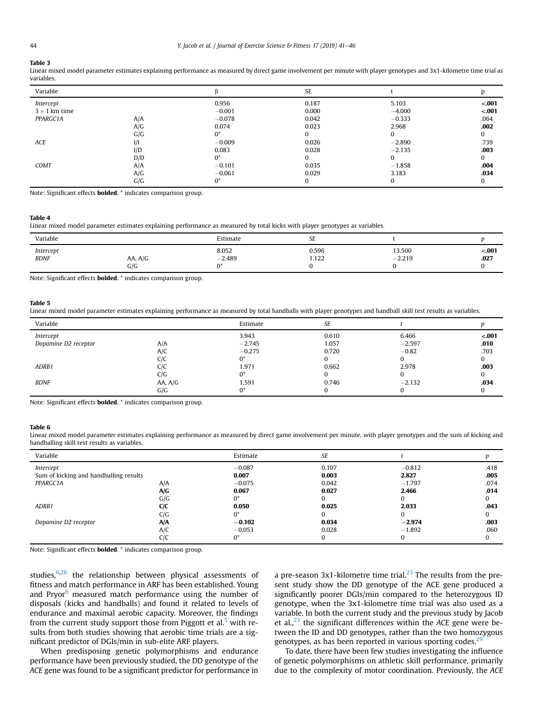#### <span id="page-5-0"></span>Table 3

Linear mixed model parameter estimates explaining performance as measured by direct game involvement per minute with player genotypes and 3x1-kilometre time trial as variables.

| Variable             |     |          | SE       |          |         |
|----------------------|-----|----------|----------|----------|---------|
| Intercept            |     | 0.956    | 0.187    | 5.103    | $-.001$ |
| $3 \times 1$ km time |     | $-0.001$ | 0.000    | $-4,000$ | $-.001$ |
| PPARGC1A             | A/A | $-0.078$ | 0.042    | $-0.333$ | .064    |
|                      | A/G | 0.074    | 0.023    | 2.968    | .002    |
|                      | G/G | $0^*$    | $\Omega$ | 0        | 0       |
| ACE                  | I/I | $-0.009$ | 0.026    | $-2.890$ | .739    |
|                      | I/D | 0.083    | 0.028    | $-2.135$ | .003    |
|                      | D/D | $0^*$    | $\Omega$ | 0        | 0       |
| COMT                 | A/A | $-0.101$ | 0.035    | $-1.858$ | .004    |
|                      | A/G | $-0.061$ | 0.029    | 3.183    | .034    |
|                      | G/G | $0^*$    | 0        | 0        |         |

Note: Significant effects bolded. \* indicates comparison group.

## Table 4

Linear mixed model parameter estimates explaining performance as measured by total kicks with player genotypes as variables.

| Variable     |         | Estimate | or.<br>ЪE |          |          |
|--------------|---------|----------|-----------|----------|----------|
| Intercept    | AA, A/G | 8.052    | 0.596     | 13.500   | $-.001$  |
| $B\!D\!N\!F$ | G/G     | $-2.489$ | 1.122     | $-2.219$ | $.027\,$ |

Note: Significant effects bolded. \* indicates comparison group.

#### Table 5

Linear mixed model parameter estimates explaining performance as measured by total handballs with player genotypes and handball skill test results as variables.

| Variable             |         | Estimate | SE    |          |         |
|----------------------|---------|----------|-------|----------|---------|
| Intercept            |         | 3.943    | 0.610 | 6.466    | $-.001$ |
| Dopamine D2 receptor | A/A     | $-2.745$ | 1.057 | $-2.597$ | .010    |
|                      | A/C     | $-0.275$ | 0.720 | $-0.82$  | .703    |
|                      | C/C     | 0*       |       |          | 0       |
| ADRB1                | CIC     | 1.971    | 0.662 | 2.978    | .003    |
|                      | C/G     | 0*       |       |          |         |
| <b>BDNF</b>          | AA, A/G | 1.591    | 0.746 | $-2.132$ | .034    |
|                      | G/G     | 0*       |       |          | 0       |

Note: Significant effects bolded. \* indicates comparison group.

#### Table 6

Linear mixed model parameter estimates explaining performance as measured by direct game involvement per minute, with player genotypes and the sum of kicking and handballing skill test results as variables.

| Variable                               |            | Estimate | SE    |          |          |
|----------------------------------------|------------|----------|-------|----------|----------|
| Intercept                              |            | $-0.087$ | 0.107 | $-0.812$ | .418     |
| Sum of kicking and handballing results |            | 0.007    | 0.003 | 2.827    | .005     |
| PPARGC1A                               | A/A        | $-0.075$ | 0.042 | $-1.797$ | .074     |
|                                        | A/G        | 0.067    | 0.027 | 2.466    | .014     |
|                                        | G/G        | 0*       |       |          |          |
| ADRB1                                  | <b>C/C</b> | 0.050    | 0.025 | 2.033    | .043     |
|                                        | C/G        | 0*       |       |          |          |
| Dopamine D2 receptor                   | A/A        | $-0.102$ | 0.034 | $-2.974$ | .003     |
|                                        | A/C        | $-0.053$ | 0.028 | $-1.892$ | .060     |
|                                        | C/C        | $0^*$    |       |          | $\Omega$ |

Note: Significant effects bolded. \* indicates comparison group.

studies, $6,28$  $6,28$  $6,28$  the relationship between physical assessments of fitness and match performance in ARF has been established. Young and Pryor $6$  measured match performance using the number of disposals (kicks and handballs) and found it related to levels of endurance and maximal aerobic capacity. Moreover, the findings from the current study support those from Piggott et al.<sup>[5](#page-7-0)</sup> with results from both studies showing that aerobic time trials are a significant predictor of DGIs/min in sub-elite ARF players.

When predisposing genetic polymorphisms and endurance performance have been previously studied, the DD genotype of the ACE gene was found to be a significant predictor for performance in a pre-season 3x1-kilometre time trial.<sup>[23](#page-7-0)</sup> The results from the present study show the DD genotype of the ACE gene produced a significantly poorer DGIs/min compared to the heterozygous ID genotype, when the 3x1-kilometre time trial was also used as a variable. In both the current study and the previous study by Jacob et al.,  $^{23}$  $^{23}$  $^{23}$  the significant differences within the ACE gene were between the ID and DD genotypes, rather than the two homozygous genotypes, as has been reported in various sporting codes. $^{29}$  $^{29}$  $^{29}$ 

To date, there have been few studies investigating the influence of genetic polymorphisms on athletic skill performance, primarily due to the complexity of motor coordination. Previously, the ACE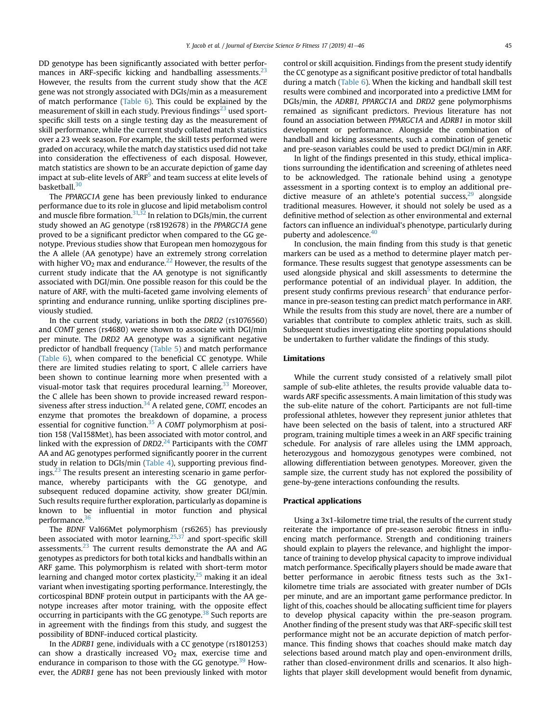DD genotype has been significantly associated with better perfor-mances in ARF-specific kicking and handballing assessments.<sup>[23](#page-7-0)</sup> However, the results from the current study show that the ACE gene was not strongly associated with DGIs/min as a measurement of match performance [\(Table 6\)](#page-5-0). This could be explained by the measurement of skill in each study. Previous findings<sup>[23](#page-7-0)</sup> used sportspecific skill tests on a single testing day as the measurement of skill performance, while the current study collated match statistics over a 23 week season. For example, the skill tests performed were graded on accuracy, while the match day statistics used did not take into consideration the effectiveness of each disposal. However, match statistics are shown to be an accurate depiction of game day impact at sub-elite levels of ARF<sup>5</sup> and team success at elite levels of basketball.<sup>[30](#page-7-0)</sup>

The PPARGC1A gene has been previously linked to endurance performance due to its role in glucose and lipid metabolism control and muscle fibre formation.<sup>[31,32](#page-7-0)</sup> In relation to DGIs/min, the current study showed an AG genotype (rs8192678) in the PPARGC1A gene proved to be a significant predictor when compared to the GG genotype. Previous studies show that European men homozygous for the A allele (AA genotype) have an extremely strong correlation with higher  $VO<sub>2</sub>$  max and endurance.<sup>[22](#page-7-0)</sup> However, the results of the current study indicate that the AA genotype is not significantly associated with DGI/min. One possible reason for this could be the nature of ARF, with the multi-faceted game involving elements of sprinting and endurance running, unlike sporting disciplines previously studied.

In the current study, variations in both the DRD2 (rs1076560) and COMT genes (rs4680) were shown to associate with DGI/min per minute. The DRD2 AA genotype was a significant negative predictor of handball frequency ([Table 5](#page-5-0)) and match performance ([Table 6\)](#page-5-0), when compared to the beneficial CC genotype. While there are limited studies relating to sport, C allele carriers have been shown to continue learning more when presented with a visual-motor task that requires procedural learning.<sup>[33](#page-7-0)</sup> Moreover, the C allele has been shown to provide increased reward respon-siveness after stress induction.<sup>[34](#page-7-0)</sup> A related gene, COMT, encodes an enzyme that promotes the breakdown of dopamine, a process essential for cognitive function. $35$  A COMT polymorphism at position 158 (Val158Met), has been associated with motor control, and linked with the expression of DRD2.<sup>[24](#page-7-0)</sup> Participants with the COMT AA and AG genotypes performed significantly poorer in the current study in relation to DGIs/min ([Table 4\)](#page-5-0), supporting previous find $i$ ngs.<sup>[23](#page-7-0)</sup> The results present an interesting scenario in game performance, whereby participants with the GG genotype, and subsequent reduced dopamine activity, show greater DGI/min. Such results require further exploration, particularly as dopamine is known to be influential in motor function and physical performance.<sup>[36](#page-7-0)</sup>

The BDNF Val66Met polymorphism (rs6265) has previously been associated with motor learning, $^{25,37}$  $^{25,37}$  $^{25,37}$  and sport-specific skill assessments.<sup>[23](#page-7-0)</sup> The current results demonstrate the AA and AG genotypes as predictors for both total kicks and handballs within an ARF game. This polymorphism is related with short-term motor learning and changed motor cortex plasticity, $25$  making it an ideal variant when investigating sporting performance. Interestingly, the corticospinal BDNF protein output in participants with the AA genotype increases after motor training, with the opposite effect occurring in participants with the GG genotype.<sup>[38](#page-7-0)</sup> Such reports are in agreement with the findings from this study, and suggest the possibility of BDNF-induced cortical plasticity.

In the ADRB1 gene, individuals with a CC genotype (rs1801253) can show a drastically increased  $VO<sub>2</sub>$  max, exercise time and endurance in comparison to those with the GG genotype.<sup>[39](#page-7-0)</sup> However, the ADRB1 gene has not been previously linked with motor control or skill acquisition. Findings from the present study identify the CC genotype as a significant positive predictor of total handballs during a match ([Table 6\)](#page-5-0). When the kicking and handball skill test results were combined and incorporated into a predictive LMM for DGIs/min, the ADRB1, PPARGC1A and DRD2 gene polymorphisms remained as significant predictors. Previous literature has not found an association between PPARGC1A and ADRB1 in motor skill development or performance. Alongside the combination of handball and kicking assessments, such a combination of genetic and pre-season variables could be used to predict DGI/min in ARF.

In light of the findings presented in this study, ethical implications surrounding the identification and screening of athletes need to be acknowledged. The rationale behind using a genotype assessment in a sporting context is to employ an additional predictive measure of an athlete's potential success, $29$  alongside traditional measures. However, it should not solely be used as a definitive method of selection as other environmental and external factors can influence an individual's phenotype, particularly during puberty and adolescence.<sup>[40](#page-7-0)</sup>

In conclusion, the main finding from this study is that genetic markers can be used as a method to determine player match performance. These results suggest that genotype assessments can be used alongside physical and skill assessments to determine the performance potential of an individual player. In addition, the present study confirms previous research<sup>5</sup> that endurance performance in pre-season testing can predict match performance in ARF. While the results from this study are novel, there are a number of variables that contribute to complex athletic traits, such as skill. Subsequent studies investigating elite sporting populations should be undertaken to further validate the findings of this study.

## Limitations

While the current study consisted of a relatively small pilot sample of sub-elite athletes, the results provide valuable data towards ARF specific assessments. A main limitation of this study was the sub-elite nature of the cohort. Participants are not full-time professional athletes, however they represent junior athletes that have been selected on the basis of talent, into a structured ARF program, training multiple times a week in an ARF specific training schedule. For analysis of rare alleles using the LMM approach, heterozygous and homozygous genotypes were combined, not allowing differentiation between genotypes. Moreover, given the sample size, the current study has not explored the possibility of gene-by-gene interactions confounding the results.

## Practical applications

Using a 3x1-kilometre time trial, the results of the current study reiterate the importance of pre-season aerobic fitness in influencing match performance. Strength and conditioning trainers should explain to players the relevance, and highlight the importance of training to develop physical capacity to improve individual match performance. Specifically players should be made aware that better performance in aerobic fitness tests such as the 3x1 kilometre time trials are associated with greater number of DGIs per minute, and are an important game performance predictor. In light of this, coaches should be allocating sufficient time for players to develop physical capacity within the pre-season program. Another finding of the present study was that ARF-specific skill test performance might not be an accurate depiction of match performance. This finding shows that coaches should make match day selections based around match play and open-environment drills, rather than closed-environment drills and scenarios. It also highlights that player skill development would benefit from dynamic,